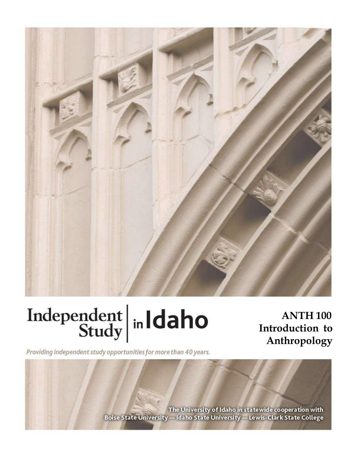

# Independent  $\left|\frac{\text{ind}}{\text{study}}\right|$  in Idaho

**ANTH 100** Introduction to Anthropology

Providing independent study opportunities for more than 40 years.

The University of Idaho in statewide cooperation with Boise State University - Idaho State University - Lewis-Clark State College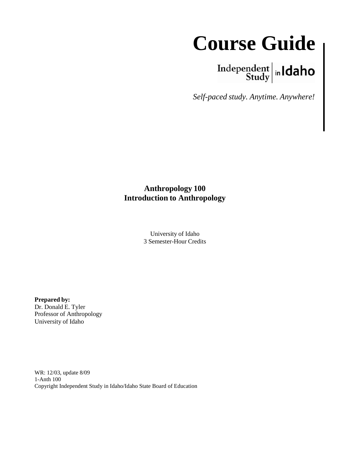### **Course Guide**

## $\left.\begin{array}{c|c} \textbf{Independent} & \textbf{h} \\ \textbf{Study} & \textbf{h} \end{array}\right.$

*Self-paced study. Anytime. Anywhere!*

#### **Anthropology 100 Introduction to Anthropology**

University of Idaho 3 Semester-Hour Credits

**Prepared by:** Dr. Donald E. Tyler Professor of Anthropology University of Idaho

WR: 12/03, update 8/09 1-Anth 100 Copyright Independent Study in Idaho/Idaho State Board of Education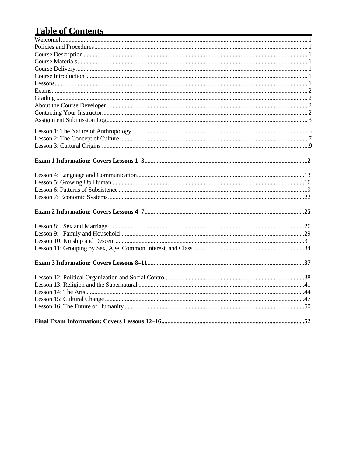#### Table of Contents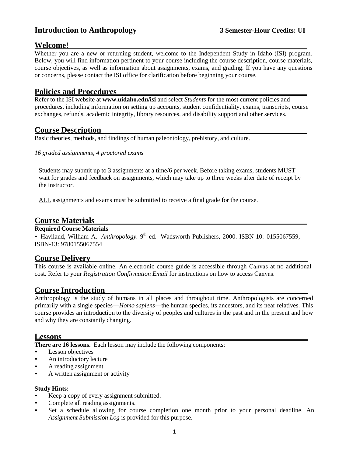#### **Introduction to Anthropology 3 Semester-Hour Credits: UI**

#### **Welcome!**

Whether you are a new or returning student, welcome to the Independent Study in Idaho (ISI) program. Below, you will find information pertinent to your course including the course description, course materials, course objectives, as well as information about assignments, exams, and grading. If you have any questions or concerns, please contact the ISI office for clarification before beginning your course.

#### **Policies and Procedures**

Refer to the ISI website at **www.uidaho.edu/isi** and select *Students* for the most current policies and procedures, including information on setting up accounts, student confidentiality, exams, transcripts, course exchanges, refunds, academic integrity, library resources, and disability support and other services.

#### **Course Description**

Basic theories, methods, and findings of human paleontology, prehistory, and culture.

*16 graded assignments, 4 proctored exams*

Students may submit up to 3 assignments at a time/6 per week. Before taking exams, students MUST wait for grades and feedback on assignments, which may take up to three weeks after date of receipt by the instructor.

ALL assignments and exams must be submitted to receive a final grade for the course.

#### **Course Materials**

#### **Required Course Materials**

• Haviland, William A. Anthropology. 9<sup>th</sup> ed. Wadsworth Publishers, 2000. ISBN-10: 0155067559, ISBN-13: 9780155067554

#### **Course Delivery**

This course is available online. An electronic course guide is accessible through Canvas at no additional cost. Refer to your *Registration Confirmation Email* for instructions on how to access Canvas.

#### **Course Introduction**

Anthropology is the study of humans in all places and throughout time. Anthropologists are concerned primarily with a single species—*Homo sapiens*—the human species, its ancestors, and its near relatives. This course provides an introduction to the diversity of peoples and cultures in the past and in the present and how and why they are constantly changing.

#### **Lessons**

**There are 16 lessons.** Each lesson may include the following components:

- Lesson objectives
- An introductory lecture
- A reading assignment
- A written assignment or activity

#### **Study Hints:**

- Keep a copy of every assignment submitted.
- Complete all reading assignments.
- Set a schedule allowing for course completion one month prior to your personal deadline. An *Assignment Submission Log* is provided for this purpose.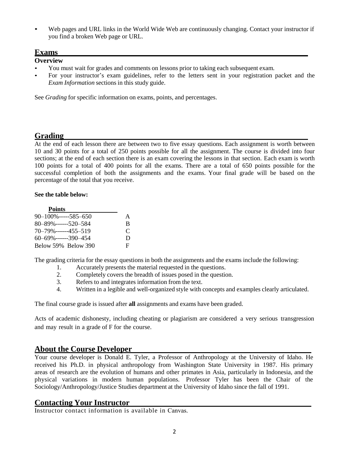Web pages and URL links in the World Wide Web are continuously changing. Contact your instructor if you find a broken Web page or URL.

#### **Exams**

#### **Overview**

- You must wait for grades and comments on lessons prior to taking each subsequent exam.
- For your instructor's exam guidelines, refer to the letters sent in your registration packet and the *Exam Information* sections in this study guide.

See *Grading* for specific information on exams, points, and percentages.

#### **Grading**

At the end of each lesson there are between two to five essay questions. Each assignment is worth between 10 and 30 points for a total of 250 points possible for all the assignment. The course is divided into four sections; at the end of each section there is an exam covering the lessons in that section. Each exam is worth 100 points for a total of 400 points for all the exams. There are a total of 650 points possible for the successful completion of both the assignments and the exams. Your final grade will be based on the percentage of the total that you receive.

#### **See the table below:**

| <b>Points</b>             |   |
|---------------------------|---|
| $90 - 100\%$ -----585-650 | A |
| $80 - 89\%$ ------520-584 | B |
| $70 - 79\%$ ------455-519 | C |
| $60 - 69\%$ ------390-454 | Ð |
| Below 59% Below 390       | F |

The grading criteria for the essay questions in both the assignments and the exams include the following:

- 1. Accurately presents the material requested in the questions.
- 2. Completely covers the breadth of issues posed in the question.
- 3. Refers to and integrates information from the text.
- 4. Written in a legible and well-organized style with concepts and examples clearly articulated.

The final course grade is issued after **all** assignments and exams have been graded.

Acts of academic dishonesty, including cheating or plagiarism are considered a very serious transgression and may result in a grade of F for the course.

#### **About the Course Developer**

Your course developer is Donald E. Tyler, a Professor of Anthropology at the University of Idaho. He received his Ph.D. in physical anthropology from Washington State University in 1987. His primary areas of research are the evolution of humans and other primates in Asia, particularly in Indonesia, and the physical variations in modern human populations. Professor Tyler has been the Chair of the Sociology/Anthropology/Justice Studies department at the University of Idaho since the fall of 1991.

#### **Contacting Your Instructor**

Instructor contact information is available in Canvas.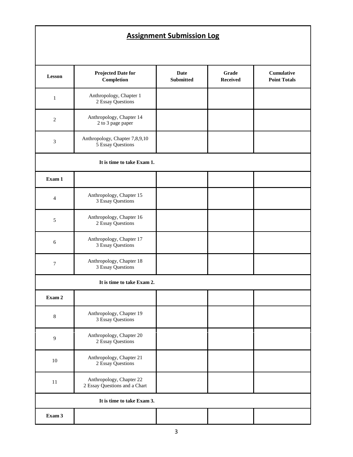#### **Assignment Submission Log**

| <b>Lesson</b>              | <b>Projected Date for</b><br>Completion                   | <b>Date</b><br><b>Submitted</b> | Grade<br><b>Received</b> | Cumulative<br><b>Point Totals</b> |  |  |
|----------------------------|-----------------------------------------------------------|---------------------------------|--------------------------|-----------------------------------|--|--|
| $\mathbf{1}$               | Anthropology, Chapter 1<br>2 Essay Questions              |                                 |                          |                                   |  |  |
| $\mathfrak{2}$             | Anthropology, Chapter 14<br>2 to 3 page paper             |                                 |                          |                                   |  |  |
| $\mathfrak 3$              | Anthropology, Chapter 7,8,9,10<br>5 Essay Questions       |                                 |                          |                                   |  |  |
|                            | It is time to take Exam 1.                                |                                 |                          |                                   |  |  |
| Exam 1                     |                                                           |                                 |                          |                                   |  |  |
| $\overline{4}$             | Anthropology, Chapter 15<br>3 Essay Questions             |                                 |                          |                                   |  |  |
| $\sqrt{5}$                 | Anthropology, Chapter 16<br>2 Essay Questions             |                                 |                          |                                   |  |  |
| $\sqrt{6}$                 | Anthropology, Chapter 17<br>3 Essay Questions             |                                 |                          |                                   |  |  |
| $\boldsymbol{7}$           | Anthropology, Chapter 18<br>3 Essay Questions             |                                 |                          |                                   |  |  |
|                            | It is time to take Exam 2.                                |                                 |                          |                                   |  |  |
| Exam 2                     |                                                           |                                 |                          |                                   |  |  |
| $\,8\,$                    | Anthropology, Chapter 19<br>3 Essay Questions             |                                 |                          |                                   |  |  |
| $\mathbf{9}$               | Anthropology, Chapter 20<br>2 Essay Questions             |                                 |                          |                                   |  |  |
| $10\,$                     | Anthropology, Chapter 21<br>2 Essay Questions             |                                 |                          |                                   |  |  |
| 11                         | Anthropology, Chapter 22<br>2 Essay Questions and a Chart |                                 |                          |                                   |  |  |
| It is time to take Exam 3. |                                                           |                                 |                          |                                   |  |  |
| Exam 3                     |                                                           |                                 |                          |                                   |  |  |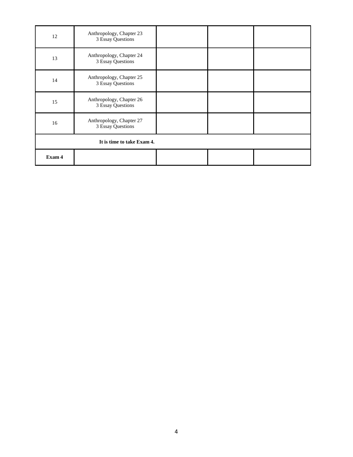| 12                         | Anthropology, Chapter 23<br>3 Essay Questions |  |  |  |  |
|----------------------------|-----------------------------------------------|--|--|--|--|
| 13                         | Anthropology, Chapter 24<br>3 Essay Questions |  |  |  |  |
| 14                         | Anthropology, Chapter 25<br>3 Essay Questions |  |  |  |  |
| 15                         | Anthropology, Chapter 26<br>3 Essay Questions |  |  |  |  |
| 16                         | Anthropology, Chapter 27<br>3 Essay Questions |  |  |  |  |
| It is time to take Exam 4. |                                               |  |  |  |  |
| Exam 4                     |                                               |  |  |  |  |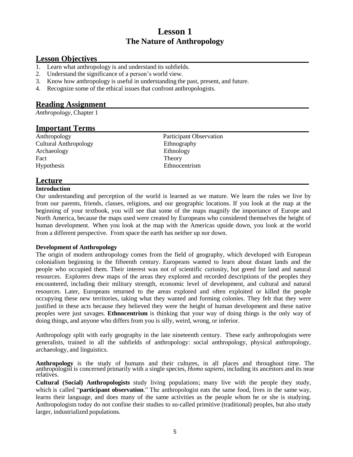#### **Lesson 1 The Nature of Anthropology**

#### **Lesson Objectives**

- 1. Learn what anthropology is and understand its subfields.
- 2. Understand the significance of a person's world view.
- 3. Know how anthropology is useful in understanding the past, present, and future.
- 4. Recognize some of the ethical issues that confront anthropologists.

#### **Reading Assignment**

*Anthropology,* Chapter 1

#### **Important Terms**

Anthropology Participant Observation Cultural Anthropology Ethnography Archaeology Ethnology Fact Theory Hypothesis Ethnocentrism

#### **Lecture**

#### **Introduction**

Our understanding and perception of the world is learned as we mature. We learn the rules we live by from our parents, friends, classes, religions, and our geographic locations. If you look at the map at the beginning of your textbook, you will see that some of the maps magnify the importance of Europe and North America, because the maps used were created by Europeans who considered themselves the height of human development. When you look at the map with the Americas upside down, you look at the world from a different perspective. From space the earth has neither up nor down.

#### **Development of Anthropology**

The origin of modern anthropology comes from the field of geography, which developed with European colonialism beginning in the fifteenth century. Europeans wanted to learn about distant lands and the people who occupied them. Their interest was not of scientific curiosity, but greed for land and natural resources. Explorers drew maps of the areas they explored and recorded descriptions of the peoples they encountered, including their military strength, economic level of development, and cultural and natural resources. Later, Europeans returned to the areas explored and often exploited or killed the people occupying these new territories, taking what they wanted and forming colonies. They felt that they were justified in these acts because they believed they were the height of human development and these native peoples were just savages. **Ethnocentrism** is thinking that your way of doing things is the only way of doing things, and anyone who differs from you is silly, weird, wrong, or inferior.

Anthropology split with early geography in the late nineteenth century. These early anthropologists were generalists, trained in all the subfields of anthropology: social anthropology, physical anthropology, archaeology, and linguistics.

**Anthropology** is the study of humans and their cultures, in all places and throughout time. The anthropologist is concerned primarily with a single species, *Homo sapiens,* including its ancestors and its near relatives.

**Cultural (Social) Anthropologists** study living populations; many live with the people they study, which is called "**participant observation**." The anthropologist eats the same food, lives in the same way, learns their language, and does many of the same activities as the people whom he or she is studying. Anthropologists today do not confine their studies to so-called primitive (traditional) peoples, but also study larger, industrialized populations.